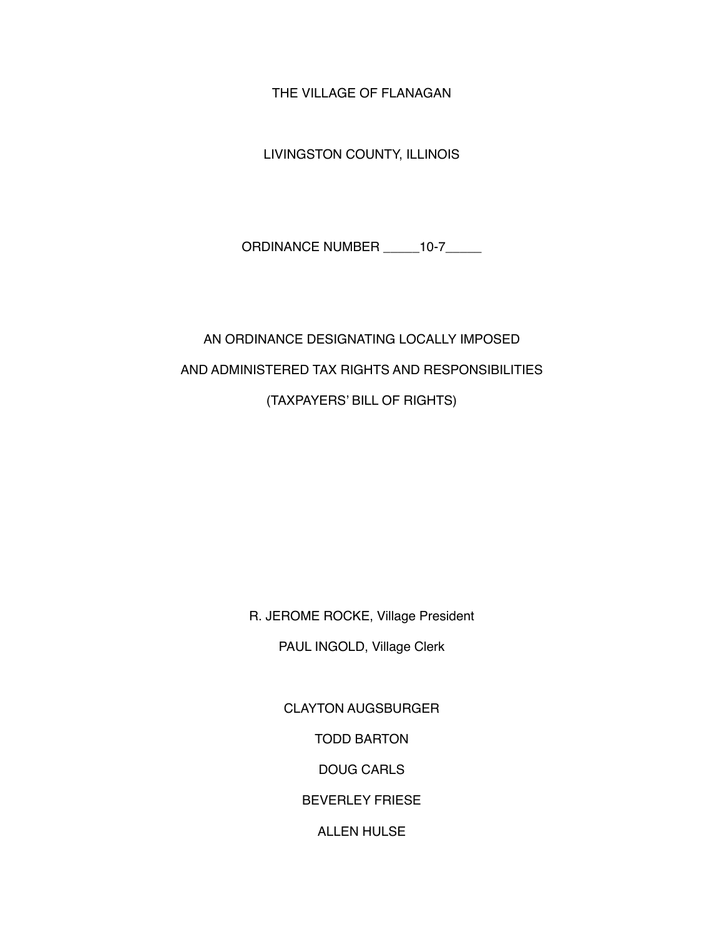THE VILLAGE OF FLANAGAN

LIVINGSTON COUNTY, ILLINOIS

ORDINANCE NUMBER \_\_\_\_\_10-7\_\_\_\_\_

# AN ORDINANCE DESIGNATING LOCALLY IMPOSED AND ADMINISTERED TAX RIGHTS AND RESPONSIBILITIES (TAXPAYERS' BILL OF RIGHTS)

R. JEROME ROCKE, Village President

PAUL INGOLD, Village Clerk

CLAYTON AUGSBURGER

TODD BARTON

DOUG CARLS

BEVERLEY FRIESE

ALLEN HULSE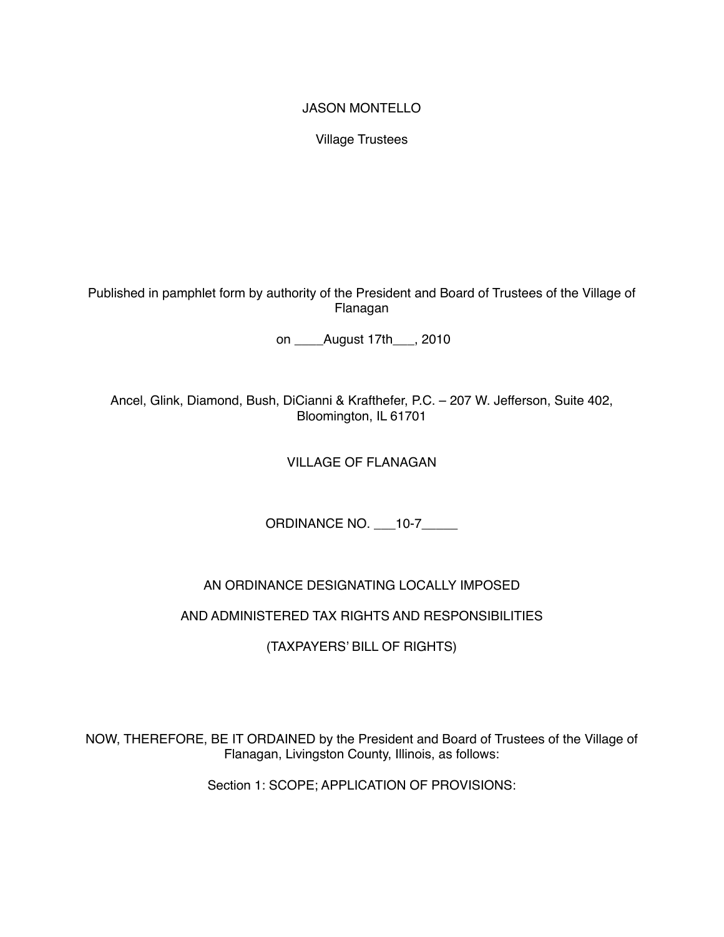#### JASON MONTELLO

Village Trustees

Published in pamphlet form by authority of the President and Board of Trustees of the Village of Flanagan

on August 17th , 2010

Ancel, Glink, Diamond, Bush, DiCianni & Krafthefer, P.C. – 207 W. Jefferson, Suite 402, Bloomington, IL 61701

# VILLAGE OF FLANAGAN

ORDINANCE NO. \_\_\_10-7\_\_\_\_\_

# AN ORDINANCE DESIGNATING LOCALLY IMPOSED

#### AND ADMINISTERED TAX RIGHTS AND RESPONSIBILITIES

(TAXPAYERS' BILL OF RIGHTS)

NOW, THEREFORE, BE IT ORDAINED by the President and Board of Trustees of the Village of Flanagan, Livingston County, Illinois, as follows:

Section 1: SCOPE; APPLICATION OF PROVISIONS: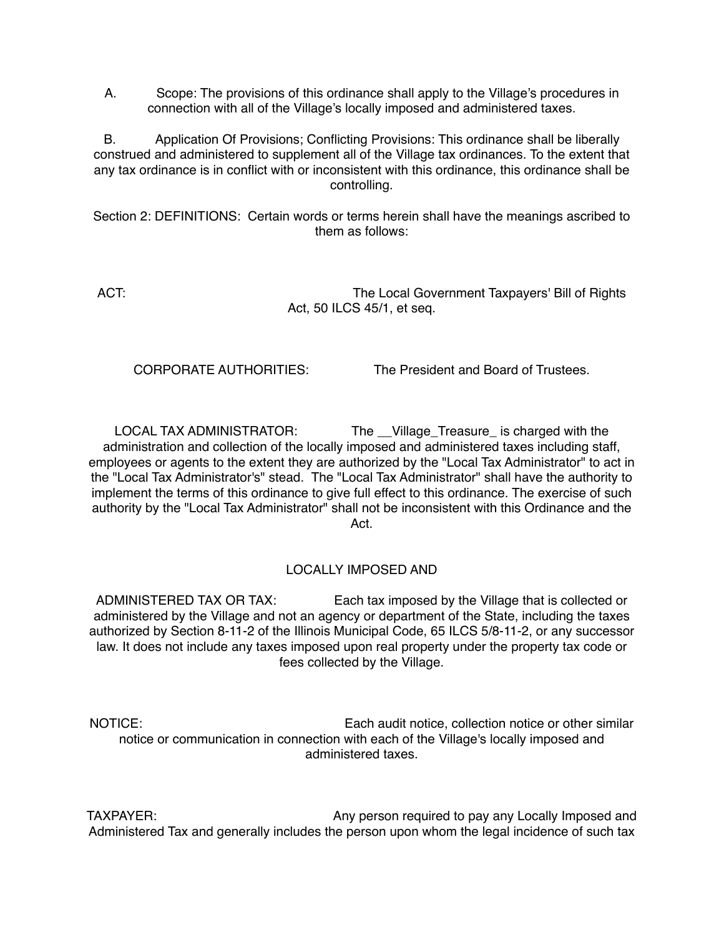A. Scope: The provisions of this ordinance shall apply to the Village's procedures in connection with all of the Village's locally imposed and administered taxes.

B. Application Of Provisions; Conflicting Provisions: This ordinance shall be liberally construed and administered to supplement all of the Village tax ordinances. To the extent that any tax ordinance is in conflict with or inconsistent with this ordinance, this ordinance shall be controlling.

Section 2: DEFINITIONS: Certain words or terms herein shall have the meanings ascribed to them as follows:

ACT: ACT: ACT: The Local Government Taxpayers' Bill of Rights Act, 50 ILCS 45/1, et seq.

CORPORATE AUTHORITIES: The President and Board of Trustees.

LOCAL TAX ADMINISTRATOR: The \_\_Village\_Treasure\_ is charged with the administration and collection of the locally imposed and administered taxes including staff, employees or agents to the extent they are authorized by the "Local Tax Administrator" to act in the "Local Tax Administrator's" stead. The "Local Tax Administrator" shall have the authority to implement the terms of this ordinance to give full effect to this ordinance. The exercise of such authority by the "Local Tax Administrator" shall not be inconsistent with this Ordinance and the **Act.** 

#### LOCALLY IMPOSED AND

ADMINISTERED TAX OR TAX: Each tax imposed by the Village that is collected or administered by the Village and not an agency or department of the State, including the taxes authorized by Section 8-11-2 of the Illinois Municipal Code, 65 ILCS 5/8-11-2, or any successor law. It does not include any taxes imposed upon real property under the property tax code or fees collected by the Village.

NOTICE: Each audit notice, collection notice or other similar notice or communication in connection with each of the Village's locally imposed and administered taxes.

TAXPAYER: Any person required to pay any Locally Imposed and Administered Tax and generally includes the person upon whom the legal incidence of such tax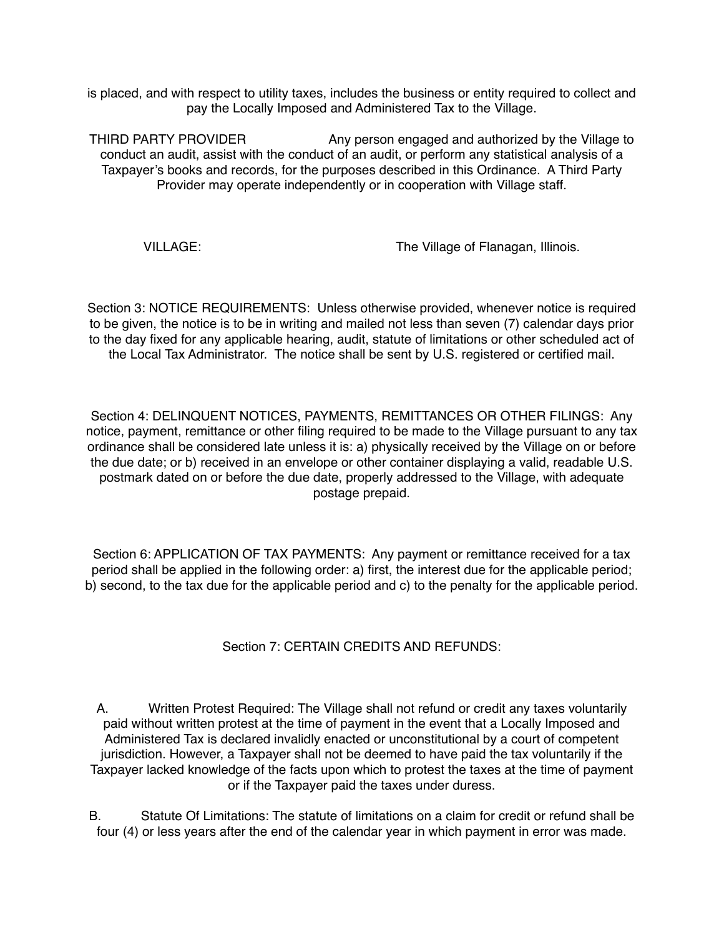is placed, and with respect to utility taxes, includes the business or entity required to collect and pay the Locally Imposed and Administered Tax to the Village.

THIRD PARTY PROVIDER **Any person engaged and authorized by the Village to** conduct an audit, assist with the conduct of an audit, or perform any statistical analysis of a Taxpayer's books and records, for the purposes described in this Ordinance. A Third Party Provider may operate independently or in cooperation with Village staff.

VILLAGE: The Village of Flanagan, Illinois.

Section 3: NOTICE REQUIREMENTS: Unless otherwise provided, whenever notice is required to be given, the notice is to be in writing and mailed not less than seven (7) calendar days prior to the day fixed for any applicable hearing, audit, statute of limitations or other scheduled act of the Local Tax Administrator. The notice shall be sent by U.S. registered or certified mail.

Section 4: DELINQUENT NOTICES, PAYMENTS, REMITTANCES OR OTHER FILINGS: Any notice, payment, remittance or other filing required to be made to the Village pursuant to any tax ordinance shall be considered late unless it is: a) physically received by the Village on or before the due date; or b) received in an envelope or other container displaying a valid, readable U.S. postmark dated on or before the due date, properly addressed to the Village, with adequate postage prepaid.

Section 6: APPLICATION OF TAX PAYMENTS: Any payment or remittance received for a tax period shall be applied in the following order: a) first, the interest due for the applicable period; b) second, to the tax due for the applicable period and c) to the penalty for the applicable period.

# Section 7: CERTAIN CREDITS AND REFUNDS:

A. Written Protest Required: The Village shall not refund or credit any taxes voluntarily paid without written protest at the time of payment in the event that a Locally Imposed and Administered Tax is declared invalidly enacted or unconstitutional by a court of competent jurisdiction. However, a Taxpayer shall not be deemed to have paid the tax voluntarily if the Taxpayer lacked knowledge of the facts upon which to protest the taxes at the time of payment or if the Taxpayer paid the taxes under duress.

B. Statute Of Limitations: The statute of limitations on a claim for credit or refund shall be four (4) or less years after the end of the calendar year in which payment in error was made.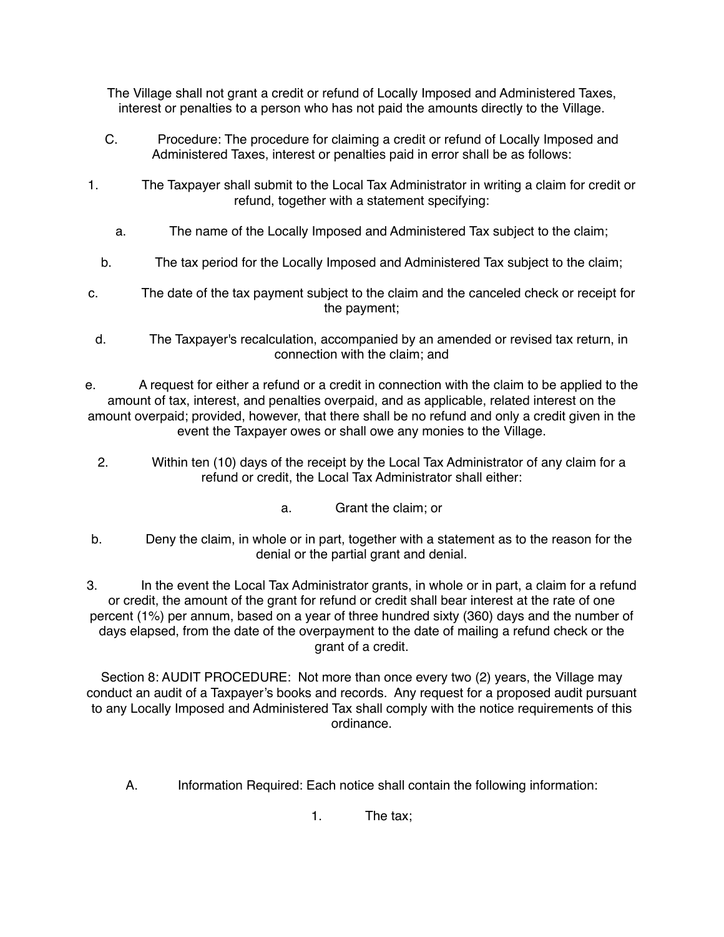The Village shall not grant a credit or refund of Locally Imposed and Administered Taxes, interest or penalties to a person who has not paid the amounts directly to the Village.

- C. Procedure: The procedure for claiming a credit or refund of Locally Imposed and Administered Taxes, interest or penalties paid in error shall be as follows:
- 1. The Taxpayer shall submit to the Local Tax Administrator in writing a claim for credit or refund, together with a statement specifying:
	- a. The name of the Locally Imposed and Administered Tax subject to the claim;
	- b. The tax period for the Locally Imposed and Administered Tax subject to the claim;
- c. The date of the tax payment subject to the claim and the canceled check or receipt for the payment;
- d. The Taxpayer's recalculation, accompanied by an amended or revised tax return, in connection with the claim; and
- e. A request for either a refund or a credit in connection with the claim to be applied to the amount of tax, interest, and penalties overpaid, and as applicable, related interest on the amount overpaid; provided, however, that there shall be no refund and only a credit given in the event the Taxpayer owes or shall owe any monies to the Village.
	- 2. Within ten (10) days of the receipt by the Local Tax Administrator of any claim for a refund or credit, the Local Tax Administrator shall either:
		- a. Grant the claim; or
- b. Deny the claim, in whole or in part, together with a statement as to the reason for the denial or the partial grant and denial.

3. In the event the Local Tax Administrator grants, in whole or in part, a claim for a refund or credit, the amount of the grant for refund or credit shall bear interest at the rate of one percent (1%) per annum, based on a year of three hundred sixty (360) days and the number of days elapsed, from the date of the overpayment to the date of mailing a refund check or the grant of a credit.

Section 8: AUDIT PROCEDURE: Not more than once every two (2) years, the Village may conduct an audit of a Taxpayer's books and records. Any request for a proposed audit pursuant to any Locally Imposed and Administered Tax shall comply with the notice requirements of this ordinance.

A. Information Required: Each notice shall contain the following information:

1. The tax;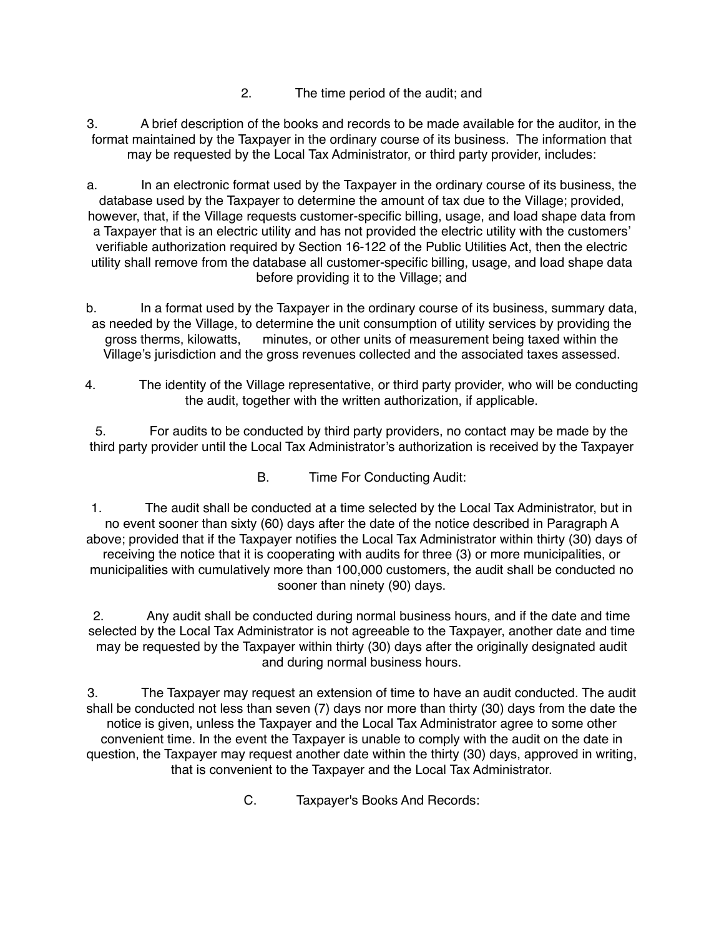2. The time period of the audit; and

3. A brief description of the books and records to be made available for the auditor, in the format maintained by the Taxpayer in the ordinary course of its business. The information that may be requested by the Local Tax Administrator, or third party provider, includes:

a. In an electronic format used by the Taxpayer in the ordinary course of its business, the database used by the Taxpayer to determine the amount of tax due to the Village; provided, however, that, if the Village requests customer-specific billing, usage, and load shape data from a Taxpayer that is an electric utility and has not provided the electric utility with the customers' verifiable authorization required by Section 16-122 of the Public Utilities Act, then the electric utility shall remove from the database all customer-specific billing, usage, and load shape data before providing it to the Village; and

b. In a format used by the Taxpayer in the ordinary course of its business, summary data, as needed by the Village, to determine the unit consumption of utility services by providing the gross therms, kilowatts, minutes, or other units of measurement being taxed within the Village's jurisdiction and the gross revenues collected and the associated taxes assessed.

4. The identity of the Village representative, or third party provider, who will be conducting the audit, together with the written authorization, if applicable.

5. For audits to be conducted by third party providers, no contact may be made by the third party provider until the Local Tax Administrator's authorization is received by the Taxpayer

B. Time For Conducting Audit:

1. The audit shall be conducted at a time selected by the Local Tax Administrator, but in no event sooner than sixty (60) days after the date of the notice described in Paragraph A above; provided that if the Taxpayer notifies the Local Tax Administrator within thirty (30) days of receiving the notice that it is cooperating with audits for three (3) or more municipalities, or municipalities with cumulatively more than 100,000 customers, the audit shall be conducted no sooner than ninety (90) days.

2. Any audit shall be conducted during normal business hours, and if the date and time selected by the Local Tax Administrator is not agreeable to the Taxpayer, another date and time may be requested by the Taxpayer within thirty (30) days after the originally designated audit and during normal business hours.

3. The Taxpayer may request an extension of time to have an audit conducted. The audit shall be conducted not less than seven (7) days nor more than thirty (30) days from the date the notice is given, unless the Taxpayer and the Local Tax Administrator agree to some other convenient time. In the event the Taxpayer is unable to comply with the audit on the date in question, the Taxpayer may request another date within the thirty (30) days, approved in writing, that is convenient to the Taxpayer and the Local Tax Administrator.

C. Taxpayer's Books And Records: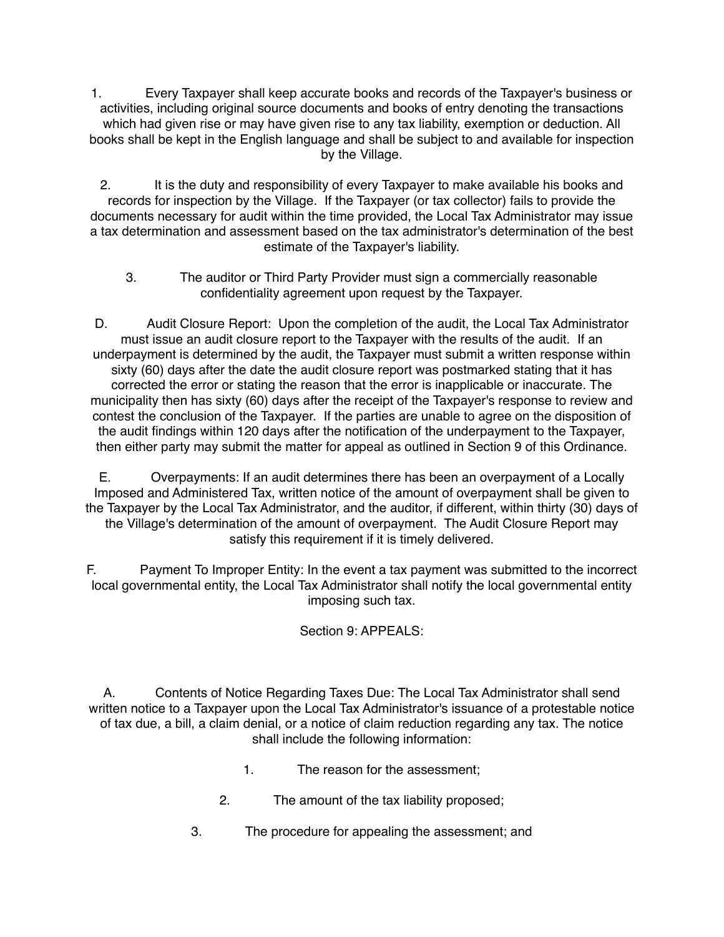1. Every Taxpayer shall keep accurate books and records of the Taxpayer's business or activities, including original source documents and books of entry denoting the transactions which had given rise or may have given rise to any tax liability, exemption or deduction. All books shall be kept in the English language and shall be subject to and available for inspection by the Village.

2. It is the duty and responsibility of every Taxpayer to make available his books and records for inspection by the Village. If the Taxpayer (or tax collector) fails to provide the documents necessary for audit within the time provided, the Local Tax Administrator may issue a tax determination and assessment based on the tax administrator's determination of the best estimate of the Taxpayer's liability.

3. The auditor or Third Party Provider must sign a commercially reasonable confidentiality agreement upon request by the Taxpayer.

D. Audit Closure Report: Upon the completion of the audit, the Local Tax Administrator must issue an audit closure report to the Taxpayer with the results of the audit. If an underpayment is determined by the audit, the Taxpayer must submit a written response within sixty (60) days after the date the audit closure report was postmarked stating that it has corrected the error or stating the reason that the error is inapplicable or inaccurate. The municipality then has sixty (60) days after the receipt of the Taxpayer's response to review and contest the conclusion of the Taxpayer. If the parties are unable to agree on the disposition of the audit findings within 120 days after the notification of the underpayment to the Taxpayer, then either party may submit the matter for appeal as outlined in Section 9 of this Ordinance.

E. Overpayments: If an audit determines there has been an overpayment of a Locally Imposed and Administered Tax, written notice of the amount of overpayment shall be given to the Taxpayer by the Local Tax Administrator, and the auditor, if different, within thirty (30) days of the Village's determination of the amount of overpayment. The Audit Closure Report may satisfy this requirement if it is timely delivered.

F. Payment To Improper Entity: In the event a tax payment was submitted to the incorrect local governmental entity, the Local Tax Administrator shall notify the local governmental entity imposing such tax.

# Section 9: APPEALS:

A. Contents of Notice Regarding Taxes Due: The Local Tax Administrator shall send written notice to a Taxpayer upon the Local Tax Administrator's issuance of a protestable notice of tax due, a bill, a claim denial, or a notice of claim reduction regarding any tax. The notice shall include the following information:

- 1. The reason for the assessment;
- 2. The amount of the tax liability proposed;
- 3. The procedure for appealing the assessment; and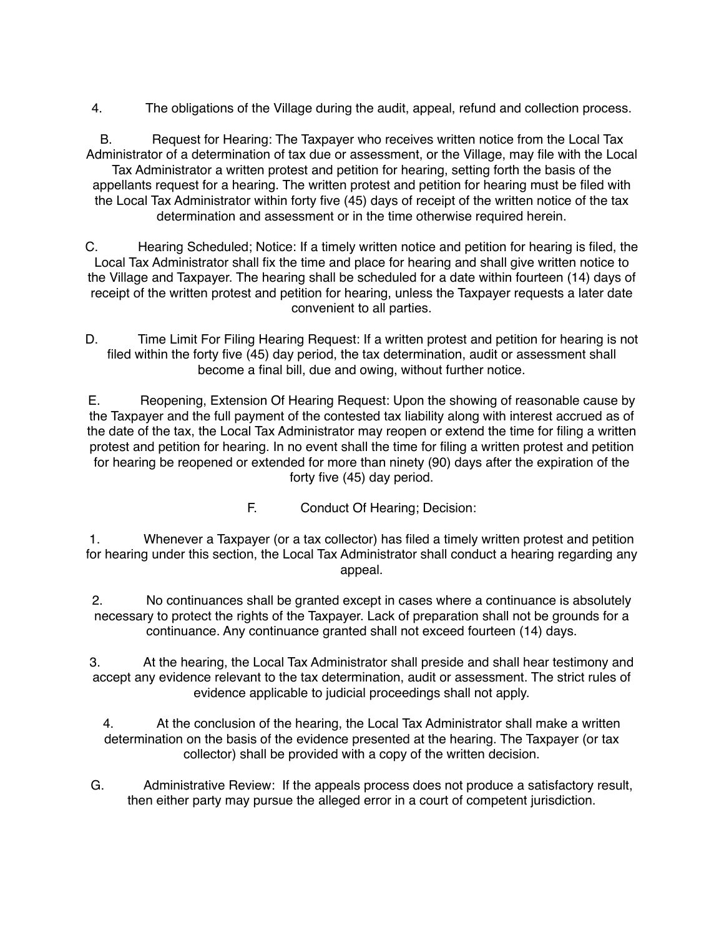4. The obligations of the Village during the audit, appeal, refund and collection process.

B. Request for Hearing: The Taxpayer who receives written notice from the Local Tax Administrator of a determination of tax due or assessment, or the Village, may file with the Local Tax Administrator a written protest and petition for hearing, setting forth the basis of the appellants request for a hearing. The written protest and petition for hearing must be filed with the Local Tax Administrator within forty five (45) days of receipt of the written notice of the tax determination and assessment or in the time otherwise required herein.

C. Hearing Scheduled; Notice: If a timely written notice and petition for hearing is filed, the Local Tax Administrator shall fix the time and place for hearing and shall give written notice to the Village and Taxpayer. The hearing shall be scheduled for a date within fourteen (14) days of receipt of the written protest and petition for hearing, unless the Taxpayer requests a later date convenient to all parties.

D. Time Limit For Filing Hearing Request: If a written protest and petition for hearing is not filed within the forty five (45) day period, the tax determination, audit or assessment shall become a final bill, due and owing, without further notice.

E. Reopening, Extension Of Hearing Request: Upon the showing of reasonable cause by the Taxpayer and the full payment of the contested tax liability along with interest accrued as of the date of the tax, the Local Tax Administrator may reopen or extend the time for filing a written protest and petition for hearing. In no event shall the time for filing a written protest and petition for hearing be reopened or extended for more than ninety (90) days after the expiration of the forty five (45) day period.

F. Conduct Of Hearing; Decision:

1. Whenever a Taxpayer (or a tax collector) has filed a timely written protest and petition for hearing under this section, the Local Tax Administrator shall conduct a hearing regarding any appeal.

2. No continuances shall be granted except in cases where a continuance is absolutely necessary to protect the rights of the Taxpayer. Lack of preparation shall not be grounds for a continuance. Any continuance granted shall not exceed fourteen (14) days.

3. At the hearing, the Local Tax Administrator shall preside and shall hear testimony and accept any evidence relevant to the tax determination, audit or assessment. The strict rules of evidence applicable to judicial proceedings shall not apply.

4. At the conclusion of the hearing, the Local Tax Administrator shall make a written determination on the basis of the evidence presented at the hearing. The Taxpayer (or tax collector) shall be provided with a copy of the written decision.

G. Administrative Review: If the appeals process does not produce a satisfactory result, then either party may pursue the alleged error in a court of competent jurisdiction.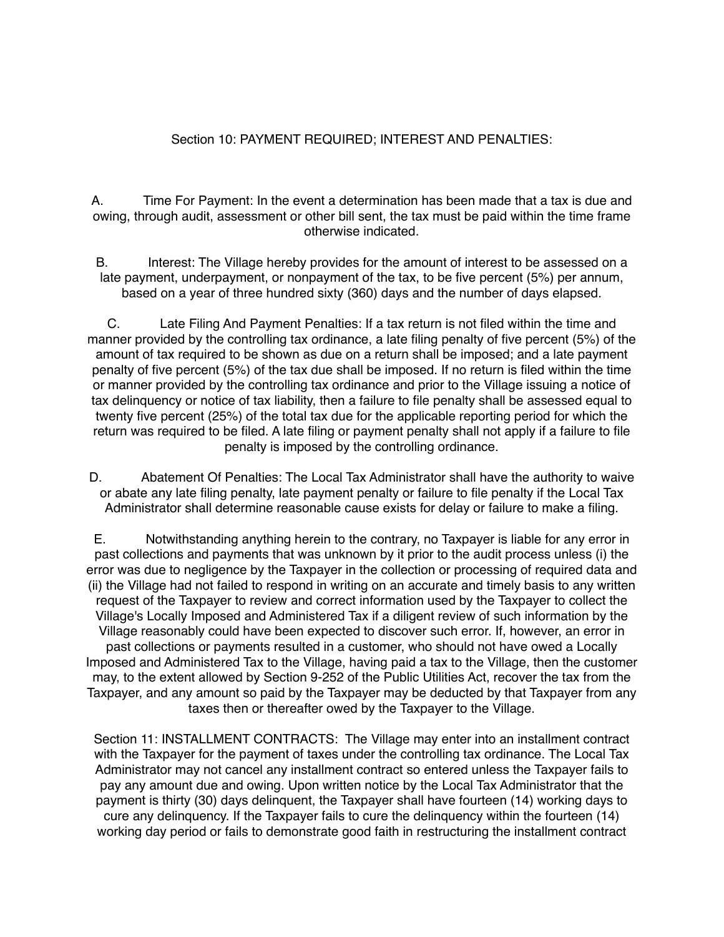#### Section 10: PAYMENT REQUIRED; INTEREST AND PENALTIES:

A. Time For Payment: In the event a determination has been made that a tax is due and owing, through audit, assessment or other bill sent, the tax must be paid within the time frame otherwise indicated.

B. Interest: The Village hereby provides for the amount of interest to be assessed on a late payment, underpayment, or nonpayment of the tax, to be five percent (5%) per annum, based on a year of three hundred sixty (360) days and the number of days elapsed.

C. Late Filing And Payment Penalties: If a tax return is not filed within the time and manner provided by the controlling tax ordinance, a late filing penalty of five percent (5%) of the amount of tax required to be shown as due on a return shall be imposed; and a late payment penalty of five percent (5%) of the tax due shall be imposed. If no return is filed within the time or manner provided by the controlling tax ordinance and prior to the Village issuing a notice of tax delinquency or notice of tax liability, then a failure to file penalty shall be assessed equal to twenty five percent (25%) of the total tax due for the applicable reporting period for which the return was required to be filed. A late filing or payment penalty shall not apply if a failure to file penalty is imposed by the controlling ordinance.

D. Abatement Of Penalties: The Local Tax Administrator shall have the authority to waive or abate any late filing penalty, late payment penalty or failure to file penalty if the Local Tax Administrator shall determine reasonable cause exists for delay or failure to make a filing.

E. Notwithstanding anything herein to the contrary, no Taxpayer is liable for any error in past collections and payments that was unknown by it prior to the audit process unless (i) the error was due to negligence by the Taxpayer in the collection or processing of required data and (ii) the Village had not failed to respond in writing on an accurate and timely basis to any written request of the Taxpayer to review and correct information used by the Taxpayer to collect the Village's Locally Imposed and Administered Tax if a diligent review of such information by the Village reasonably could have been expected to discover such error. If, however, an error in past collections or payments resulted in a customer, who should not have owed a Locally Imposed and Administered Tax to the Village, having paid a tax to the Village, then the customer may, to the extent allowed by Section 9-252 of the Public Utilities Act, recover the tax from the Taxpayer, and any amount so paid by the Taxpayer may be deducted by that Taxpayer from any taxes then or thereafter owed by the Taxpayer to the Village.

Section 11: INSTALLMENT CONTRACTS: The Village may enter into an installment contract with the Taxpayer for the payment of taxes under the controlling tax ordinance. The Local Tax Administrator may not cancel any installment contract so entered unless the Taxpayer fails to pay any amount due and owing. Upon written notice by the Local Tax Administrator that the payment is thirty (30) days delinquent, the Taxpayer shall have fourteen (14) working days to cure any delinquency. If the Taxpayer fails to cure the delinquency within the fourteen (14) working day period or fails to demonstrate good faith in restructuring the installment contract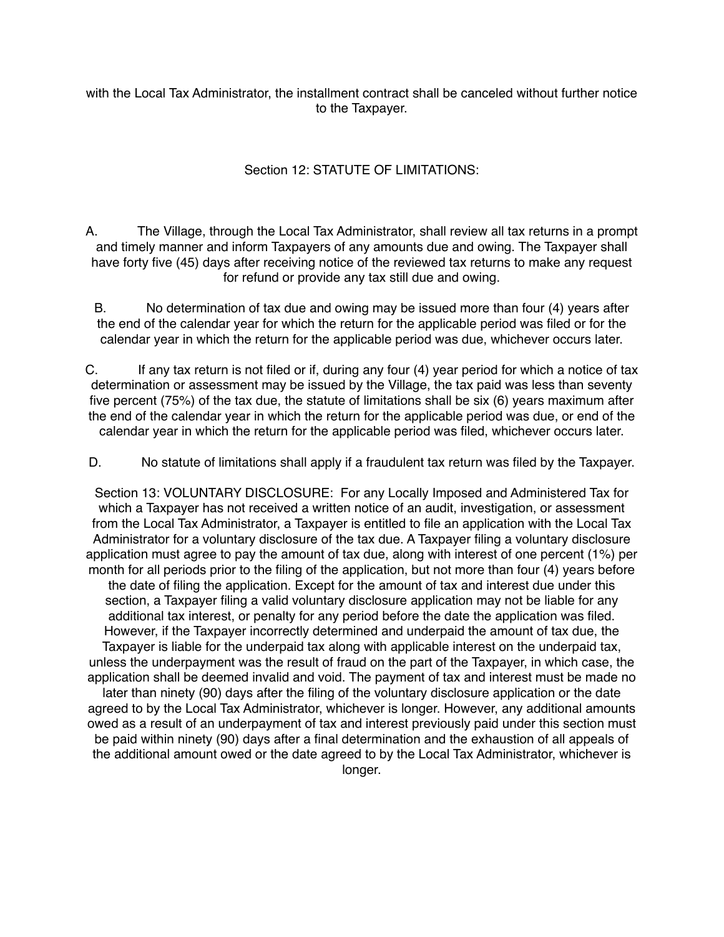with the Local Tax Administrator, the installment contract shall be canceled without further notice to the Taxpayer.

# Section 12: STATUTE OF LIMITATIONS:

A. The Village, through the Local Tax Administrator, shall review all tax returns in a prompt and timely manner and inform Taxpayers of any amounts due and owing. The Taxpayer shall have forty five (45) days after receiving notice of the reviewed tax returns to make any request for refund or provide any tax still due and owing.

B. No determination of tax due and owing may be issued more than four (4) years after the end of the calendar year for which the return for the applicable period was filed or for the calendar year in which the return for the applicable period was due, whichever occurs later.

C. If any tax return is not filed or if, during any four (4) year period for which a notice of tax determination or assessment may be issued by the Village, the tax paid was less than seventy five percent (75%) of the tax due, the statute of limitations shall be six (6) years maximum after the end of the calendar year in which the return for the applicable period was due, or end of the calendar year in which the return for the applicable period was filed, whichever occurs later.

D. No statute of limitations shall apply if a fraudulent tax return was filed by the Taxpayer.

Section 13: VOLUNTARY DISCLOSURE: For any Locally Imposed and Administered Tax for which a Taxpayer has not received a written notice of an audit, investigation, or assessment from the Local Tax Administrator, a Taxpayer is entitled to file an application with the Local Tax Administrator for a voluntary disclosure of the tax due. A Taxpayer filing a voluntary disclosure application must agree to pay the amount of tax due, along with interest of one percent (1%) per month for all periods prior to the filing of the application, but not more than four (4) years before the date of filing the application. Except for the amount of tax and interest due under this section, a Taxpayer filing a valid voluntary disclosure application may not be liable for any additional tax interest, or penalty for any period before the date the application was filed. However, if the Taxpayer incorrectly determined and underpaid the amount of tax due, the Taxpayer is liable for the underpaid tax along with applicable interest on the underpaid tax, unless the underpayment was the result of fraud on the part of the Taxpayer, in which case, the application shall be deemed invalid and void. The payment of tax and interest must be made no later than ninety (90) days after the filing of the voluntary disclosure application or the date agreed to by the Local Tax Administrator, whichever is longer. However, any additional amounts owed as a result of an underpayment of tax and interest previously paid under this section must be paid within ninety (90) days after a final determination and the exhaustion of all appeals of the additional amount owed or the date agreed to by the Local Tax Administrator, whichever is longer.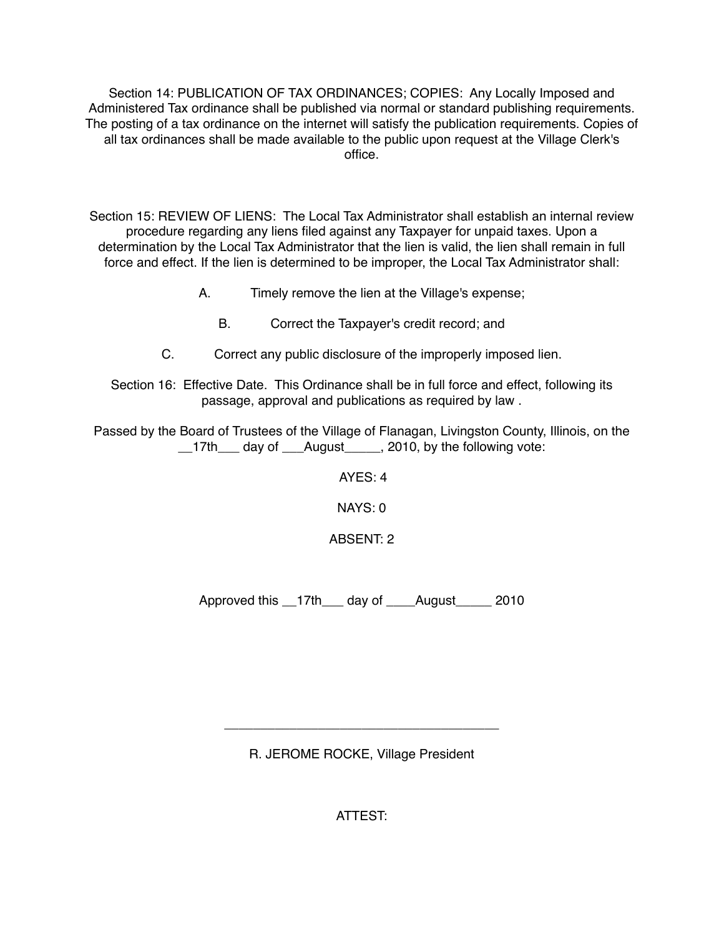Section 14: PUBLICATION OF TAX ORDINANCES; COPIES: Any Locally Imposed and Administered Tax ordinance shall be published via normal or standard publishing requirements. The posting of a tax ordinance on the internet will satisfy the publication requirements. Copies of all tax ordinances shall be made available to the public upon request at the Village Clerk's office.

Section 15: REVIEW OF LIENS: The Local Tax Administrator shall establish an internal review procedure regarding any liens filed against any Taxpayer for unpaid taxes. Upon a determination by the Local Tax Administrator that the lien is valid, the lien shall remain in full force and effect. If the lien is determined to be improper, the Local Tax Administrator shall:

- A. Timely remove the lien at the Village's expense;
	- B. Correct the Taxpayer's credit record; and
- C. Correct any public disclosure of the improperly imposed lien.
- Section 16: Effective Date. This Ordinance shall be in full force and effect, following its passage, approval and publications as required by law .

Passed by the Board of Trustees of the Village of Flanagan, Livingston County, Illinois, on the \_\_17th\_\_\_ day of \_\_\_August\_\_\_\_\_, 2010, by the following vote:

 $AYFS:4$ 

NAYS: 0

ABSENT: 2

Approved this \_\_17th\_\_\_ day of \_\_\_\_August\_\_\_\_\_ 2010

R. JEROME ROCKE, Village President

\_\_\_\_\_\_\_\_\_\_\_\_\_\_\_\_\_\_\_\_\_\_\_\_\_\_\_\_\_\_\_\_\_\_\_\_\_\_

ATTEST: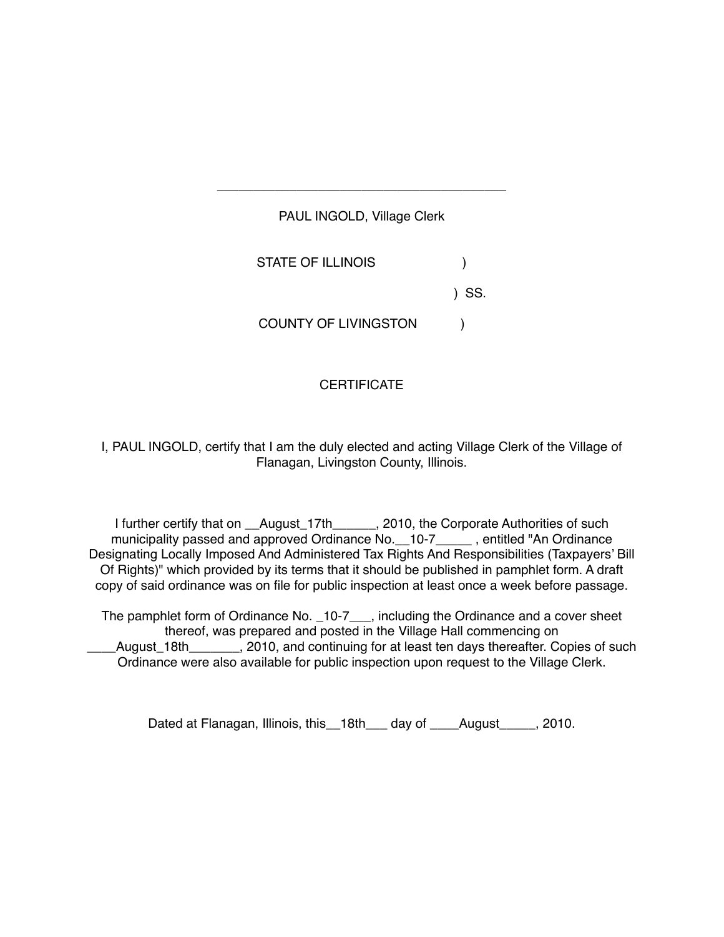# PAUL INGOLD, Village Clerk STATE OF ILLINOIS ) SS. COUNTY OF LIVINGSTON )

\_\_\_\_\_\_\_\_\_\_\_\_\_\_\_\_\_\_\_\_\_\_\_\_\_\_\_\_\_\_\_\_\_\_\_\_\_\_\_\_

# **CERTIFICATE**

I, PAUL INGOLD, certify that I am the duly elected and acting Village Clerk of the Village of Flanagan, Livingston County, Illinois.

I further certify that on \_\_August\_17th\_\_\_\_\_\_, 2010, the Corporate Authorities of such municipality passed and approved Ordinance No. 10-7\_\_\_\_\_, entitled "An Ordinance Designating Locally Imposed And Administered Tax Rights And Responsibilities (Taxpayers' Bill Of Rights)" which provided by its terms that it should be published in pamphlet form. A draft copy of said ordinance was on file for public inspection at least once a week before passage.

The pamphlet form of Ordinance No. 10-7<sub>\_\_\_</sub>, including the Ordinance and a cover sheet thereof, was prepared and posted in the Village Hall commencing on August 18th . 2010, and continuing for at least ten days thereafter. Copies of such Ordinance were also available for public inspection upon request to the Village Clerk.

Dated at Flanagan, Illinois, this 18th day of August 2010.